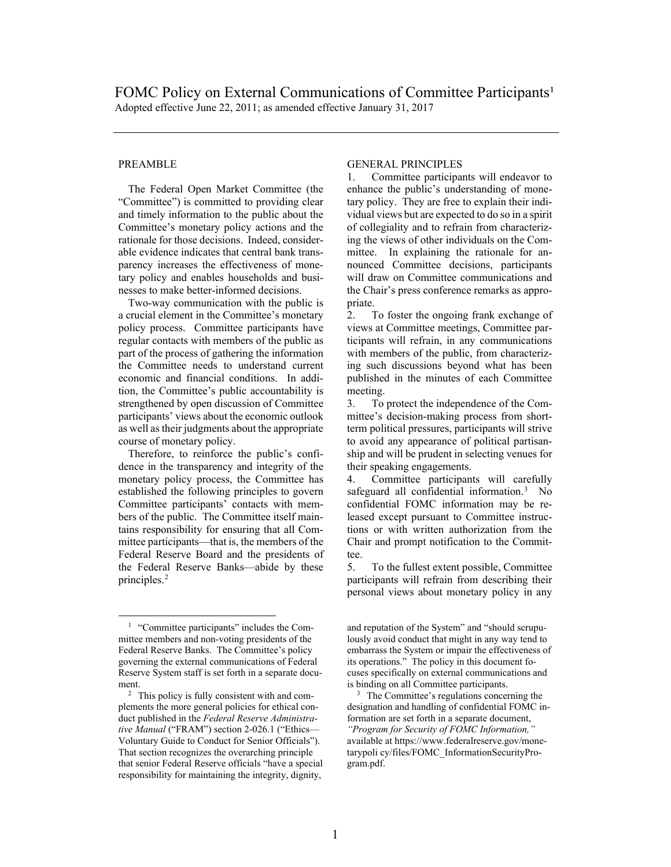## **PREAMBLE**

The Federal Open Market Committee (the "Committee") is committed to providing clear and timely information to the public about the Committee's monetary policy actions and the rationale for those decisions. Indeed, considerable evidence indicates that central bank transparency increases the effectiveness of monetary policy and enables households and businesses to make better-informed decisions.

Two-way communication with the public is a crucial element in the Committee's monetary policy process. Committee participants have regular contacts with members of the public as part of the process of gathering the information the Committee needs to understand current economic and financial conditions. In addition, the Committee's public accountability is strengthened by open discussion of Committee participants' views about the economic outlook as well as their judgments about the appropriate course of monetary policy.

Therefore, to reinforce the public's confidence in the transparency and integrity of the monetary policy process, the Committee has established the following principles to govern Committee participants' contacts with members of the public. The Committee itself maintains responsibility for ensuring that all Committee participants—that is, the members of the Federal Reserve Board and the presidents of the Federal Reserve Banks—abide by these principles.[2](#page-0-1)

## GENERAL PRINCIPLES

1. Committee participants will endeavor to enhance the public's understanding of monetary policy. They are free to explain their individual views but are expected to do so in a spirit of collegiality and to refrain from characterizing the views of other individuals on the Committee. In explaining the rationale for announced Committee decisions, participants will draw on Committee communications and the Chair's press conference remarks as appropriate.

2. To foster the ongoing frank exchange of views at Committee meetings, Committee participants will refrain, in any communications with members of the public, from characterizing such discussions beyond what has been published in the minutes of each Committee meeting.

3. To protect the independence of the Committee's decision-making process from shortterm political pressures, participants will strive to avoid any appearance of political partisanship and will be prudent in selecting venues for their speaking engagements.

4. Committee participants will carefully safeguard all confidential information.<sup>[3](#page-0-1)</sup> No confidential FOMC information may be released except pursuant to Committee instructions or with written authorization from the Chair and prompt notification to the Committee.

5. To the fullest extent possible, Committee participants will refrain from describing their personal views about monetary policy in any

<span id="page-0-0"></span><sup>1</sup> "Committee participants" includes the Committee members and non-voting presidents of the Federal Reserve Banks. The Committee's policy governing the external communications of Federal Reserve System staff is set forth in a separate document.

<span id="page-0-1"></span><sup>2</sup> This policy is fully consistent with and complements the more general policies for ethical conduct published in the *Federal Reserve Administrative Manual* ("FRAM") section 2-026.1 ("Ethics— Voluntary Guide to Conduct for Senior Officials"). That section recognizes the overarching principle that senior Federal Reserve officials "have a special responsibility for maintaining the integrity, dignity,

and reputation of the System" and "should scrupulously avoid conduct that might in any way tend to embarrass the System or impair the effectiveness of its operations." The policy in this document focuses specifically on external communications and is binding on all Committee participants. 3 The Committee's regulations concerning the

designation and handling of confidential FOMC information are set forth in a separate document, *"Program for Security of FOMC Information,"* available at https://www.federalreserve.gov/monetarypoli cy/files/FOMC\_InformationSecurityProgram.pdf.